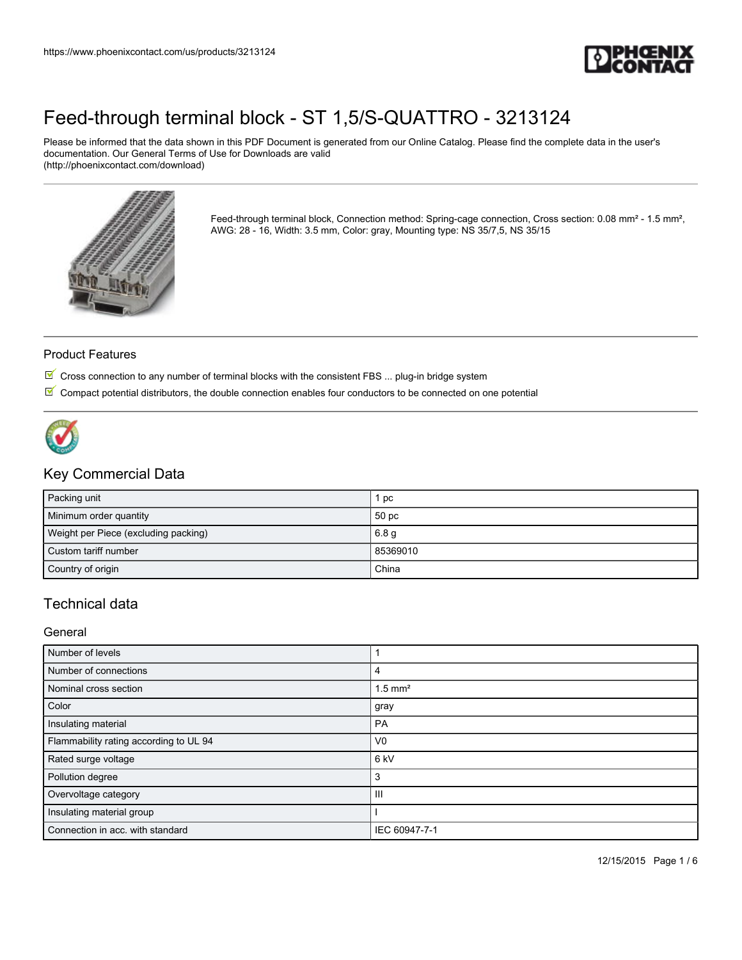

Please be informed that the data shown in this PDF Document is generated from our Online Catalog. Please find the complete data in the user's documentation. Our General Terms of Use for Downloads are valid (http://phoenixcontact.com/download)



Feed-through terminal block, Connection method: Spring-cage connection, Cross section: 0.08 mm<sup>2</sup> - 1.5 mm<sup>2</sup>, AWG: 28 - 16, Width: 3.5 mm, Color: gray, Mounting type: NS 35/7,5, NS 35/15

#### Product Features

- $\mathbb T$  Cross connection to any number of terminal blocks with the consistent FBS ... plug-in bridge system
- $\mathbb T$  Compact potential distributors, the double connection enables four conductors to be connected on one potential



### Key Commercial Data

| Packing unit                         | . pc             |
|--------------------------------------|------------------|
| Minimum order quantity               | 50 pc            |
| Weight per Piece (excluding packing) | 6.8 <sub>q</sub> |
| Custom tariff number                 | 85369010         |
| Country of origin                    | China            |

## Technical data

#### **General**

| Number of levels                       |                       |
|----------------------------------------|-----------------------|
| Number of connections                  | 4                     |
| Nominal cross section                  | $1.5$ mm <sup>2</sup> |
| Color                                  | gray                  |
| Insulating material                    | <b>PA</b>             |
| Flammability rating according to UL 94 | V <sub>0</sub>        |
| Rated surge voltage                    | 6 kV                  |
| Pollution degree                       | 3                     |
| Overvoltage category                   | $\mathbf{III}$        |
| Insulating material group              |                       |
| Connection in acc. with standard       | IEC 60947-7-1         |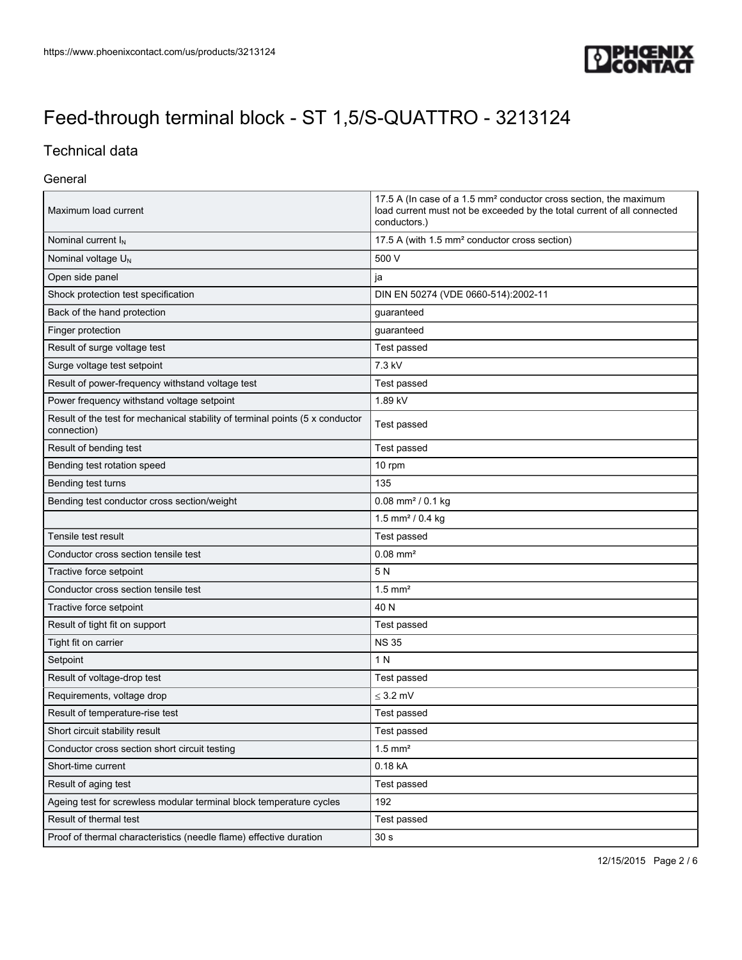

# Technical data

#### General

| Maximum load current                                                                         | 17.5 A (In case of a 1.5 mm <sup>2</sup> conductor cross section, the maximum<br>load current must not be exceeded by the total current of all connected<br>conductors.) |  |
|----------------------------------------------------------------------------------------------|--------------------------------------------------------------------------------------------------------------------------------------------------------------------------|--|
| Nominal current $I_N$                                                                        | 17.5 A (with 1.5 mm <sup>2</sup> conductor cross section)                                                                                                                |  |
| Nominal voltage $U_N$                                                                        | 500 V                                                                                                                                                                    |  |
| Open side panel                                                                              | ja                                                                                                                                                                       |  |
| Shock protection test specification                                                          | DIN EN 50274 (VDE 0660-514):2002-11                                                                                                                                      |  |
| Back of the hand protection                                                                  | guaranteed                                                                                                                                                               |  |
| Finger protection                                                                            | guaranteed                                                                                                                                                               |  |
| Result of surge voltage test                                                                 | Test passed                                                                                                                                                              |  |
| Surge voltage test setpoint                                                                  | 7.3 kV                                                                                                                                                                   |  |
| Result of power-frequency withstand voltage test                                             | Test passed                                                                                                                                                              |  |
| Power frequency withstand voltage setpoint                                                   | 1.89 kV                                                                                                                                                                  |  |
| Result of the test for mechanical stability of terminal points (5 x conductor<br>connection) | Test passed                                                                                                                                                              |  |
| Result of bending test                                                                       | Test passed                                                                                                                                                              |  |
| Bending test rotation speed                                                                  | 10 rpm                                                                                                                                                                   |  |
| Bending test turns                                                                           | 135                                                                                                                                                                      |  |
| Bending test conductor cross section/weight                                                  | $0.08$ mm <sup>2</sup> / 0.1 kg                                                                                                                                          |  |
|                                                                                              | 1.5 mm <sup>2</sup> / 0.4 kg                                                                                                                                             |  |
| Tensile test result                                                                          | Test passed                                                                                                                                                              |  |
| Conductor cross section tensile test                                                         | $0.08$ mm <sup>2</sup>                                                                                                                                                   |  |
| Tractive force setpoint                                                                      | 5N                                                                                                                                                                       |  |
| Conductor cross section tensile test                                                         | $1.5$ mm <sup>2</sup>                                                                                                                                                    |  |
| Tractive force setpoint                                                                      | 40 N                                                                                                                                                                     |  |
| Result of tight fit on support                                                               | Test passed                                                                                                                                                              |  |
| Tight fit on carrier                                                                         | <b>NS 35</b>                                                                                                                                                             |  |
| Setpoint                                                                                     | 1 N                                                                                                                                                                      |  |
| Result of voltage-drop test                                                                  | Test passed                                                                                                                                                              |  |
| Requirements, voltage drop                                                                   | $\leq$ 3.2 mV                                                                                                                                                            |  |
| Result of temperature-rise test                                                              | Test passed                                                                                                                                                              |  |
| Short circuit stability result                                                               | Test passed                                                                                                                                                              |  |
| Conductor cross section short circuit testing                                                | $1.5$ mm <sup>2</sup>                                                                                                                                                    |  |
| Short-time current                                                                           | 0.18 kA                                                                                                                                                                  |  |
| Result of aging test                                                                         | Test passed                                                                                                                                                              |  |
| Ageing test for screwless modular terminal block temperature cycles                          | 192                                                                                                                                                                      |  |
| Result of thermal test                                                                       | Test passed                                                                                                                                                              |  |
| Proof of thermal characteristics (needle flame) effective duration                           | 30 <sub>s</sub>                                                                                                                                                          |  |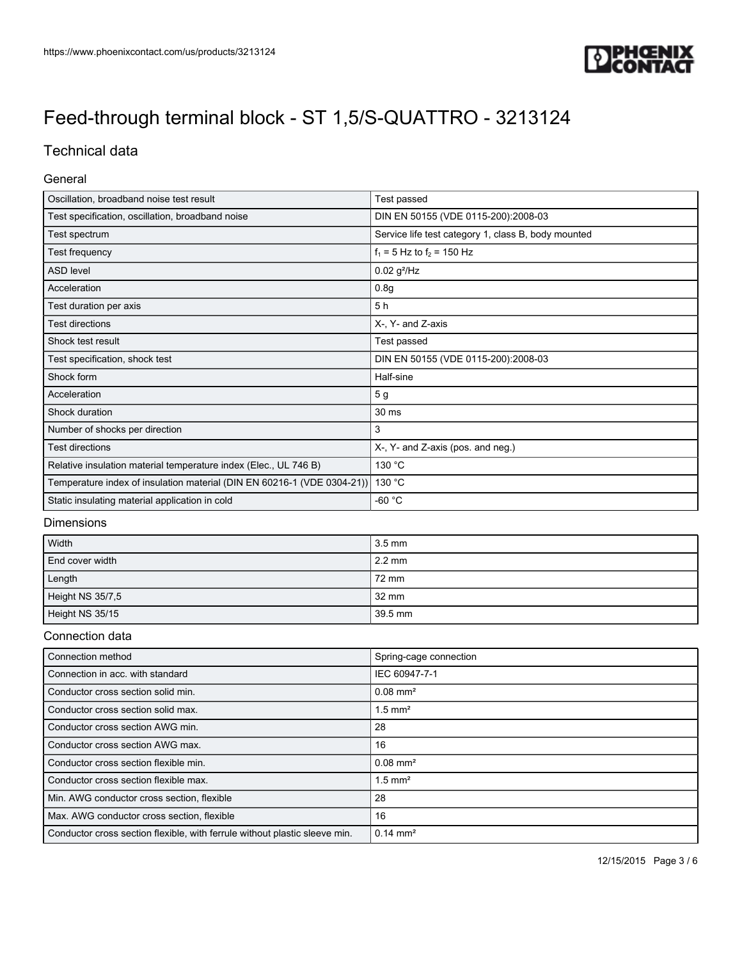

# Technical data

#### General

| Oscillation, broadband noise test result                                | Test passed                                         |  |
|-------------------------------------------------------------------------|-----------------------------------------------------|--|
| Test specification, oscillation, broadband noise                        | DIN EN 50155 (VDE 0115-200):2008-03                 |  |
| Test spectrum                                                           | Service life test category 1, class B, body mounted |  |
| Test frequency                                                          | $f_1 = 5$ Hz to $f_2 = 150$ Hz                      |  |
| <b>ASD level</b>                                                        | $0.02$ g <sup>2</sup> /Hz                           |  |
| Acceleration                                                            | 0.8 <sub>g</sub>                                    |  |
| Test duration per axis                                                  | 5h                                                  |  |
| <b>Test directions</b>                                                  | X-, Y- and Z-axis                                   |  |
| Shock test result                                                       | Test passed                                         |  |
| Test specification, shock test                                          | DIN EN 50155 (VDE 0115-200):2008-03                 |  |
| Shock form                                                              | Half-sine                                           |  |
| Acceleration                                                            | 5 g                                                 |  |
| Shock duration                                                          | 30 ms                                               |  |
| Number of shocks per direction                                          | 3                                                   |  |
| <b>Test directions</b>                                                  | X-, Y- and Z-axis (pos. and neg.)                   |  |
| Relative insulation material temperature index (Elec., UL 746 B)        | 130 °C                                              |  |
| Temperature index of insulation material (DIN EN 60216-1 (VDE 0304-21)) | 130 °C                                              |  |
| Static insulating material application in cold                          | $-60 °C$                                            |  |

#### Dimensions

| Width            | $3.5 \text{ mm}$ |
|------------------|------------------|
| End cover width  | $2.2 \text{ mm}$ |
| Length           | 72 mm            |
| Height NS 35/7,5 | 32 mm            |
| Height NS 35/15  | 39.5 mm          |

### Connection data

| Connection method                                                          | Spring-cage connection |
|----------------------------------------------------------------------------|------------------------|
| Connection in acc. with standard                                           | IEC 60947-7-1          |
| Conductor cross section solid min.                                         | $0.08$ mm <sup>2</sup> |
| Conductor cross section solid max.                                         | $1.5$ mm <sup>2</sup>  |
| Conductor cross section AWG min.                                           | 28                     |
| Conductor cross section AWG max.                                           | 16                     |
| Conductor cross section flexible min.                                      | $0.08$ mm <sup>2</sup> |
| Conductor cross section flexible max.                                      | 1.5 mm <sup>2</sup>    |
| Min. AWG conductor cross section, flexible                                 | 28                     |
| Max. AWG conductor cross section, flexible                                 | 16                     |
| Conductor cross section flexible, with ferrule without plastic sleeve min. | $0.14 \text{ mm}^2$    |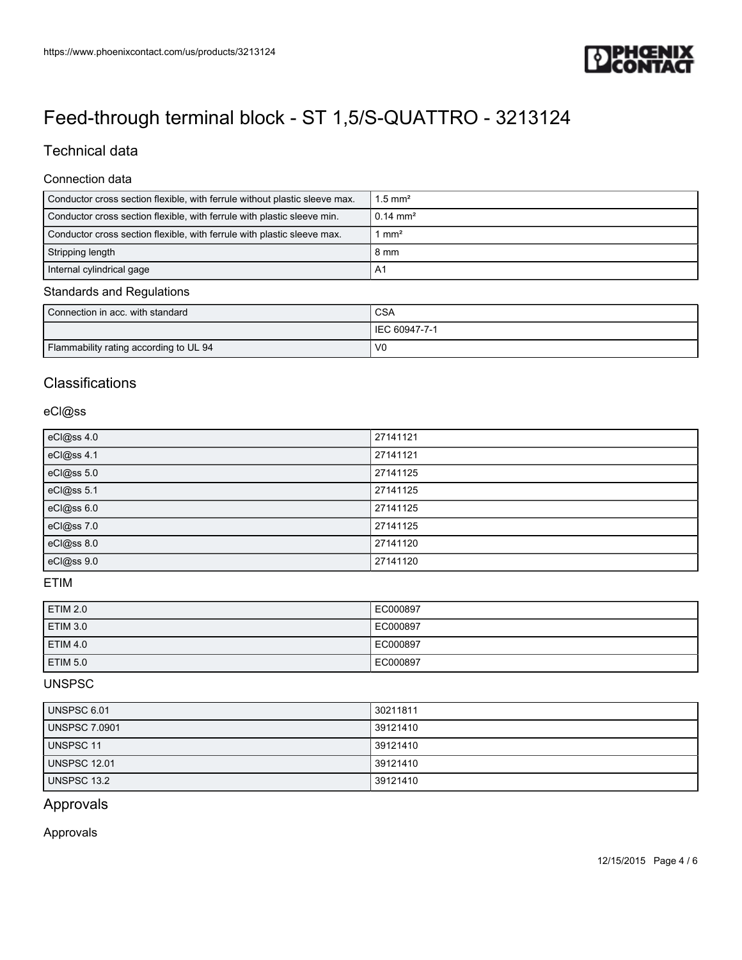

## Technical data

#### Connection data

| Conductor cross section flexible, with ferrule without plastic sleeve max. | $1.5$ mm <sup>2</sup> |
|----------------------------------------------------------------------------|-----------------------|
| Conductor cross section flexible, with ferrule with plastic sleeve min.    | $0.14 \text{ mm}^2$   |
| Conductor cross section flexible, with ferrule with plastic sleeve max.    | mm <sup>2</sup>       |
| Stripping length                                                           | 8 mm                  |
| Internal cylindrical gage                                                  | A <sub>1</sub>        |

#### Standards and Regulations

| Connection in acc. with standard       | <b>CSA</b>     |
|----------------------------------------|----------------|
|                                        | IEC 60947-7-1  |
| Flammability rating according to UL 94 | V <sub>0</sub> |

### **Classifications**

#### eCl@ss

| eCl@ss 4.0 | 27141121 |
|------------|----------|
| eCl@ss 4.1 | 27141121 |
| eCl@ss 5.0 | 27141125 |
| eCl@ss 5.1 | 27141125 |
| eCl@ss 6.0 | 27141125 |
| eCl@ss 7.0 | 27141125 |
| eCl@ss 8.0 | 27141120 |
| eCl@ss 9.0 | 27141120 |

#### ETIM

| <b>ETIM 2.0</b> | EC000897 |
|-----------------|----------|
| <b>ETIM 3.0</b> | EC000897 |
| <b>ETIM 4.0</b> | EC000897 |
| <b>ETIM 5.0</b> | EC000897 |

### UNSPSC

| UNSPSC 6.01         | 30211811 |
|---------------------|----------|
| UNSPSC 7.0901       | 39121410 |
| UNSPSC 11           | 39121410 |
| <b>UNSPSC 12.01</b> | 39121410 |
| UNSPSC 13.2         | 39121410 |

## Approvals

### Approvals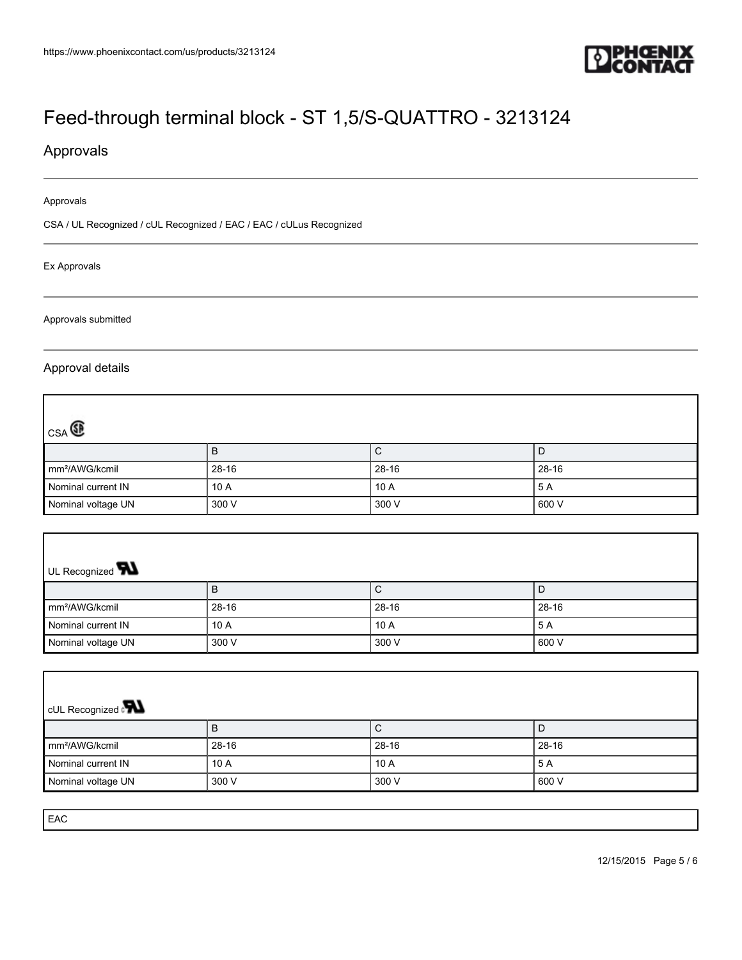

٦

1

# [Feed-through terminal block - ST 1,5/S-QUATTRO - 3213124](https://www.phoenixcontact.com/us/products/3213124)

## Approvals

#### Approvals

CSA / UL Recognized / cUL Recognized / EAC / EAC / cULus Recognized

#### Ex Approvals

Approvals submitted

#### Approval details

Г

| $_{CSA}$                   |           |             |       |
|----------------------------|-----------|-------------|-------|
|                            | ь         | $\mathbf C$ |       |
| mm <sup>2</sup> /AWG/kcmil | $28 - 16$ | 28-16       | 28-16 |
| Nominal current IN         | 10 A      | 10A         | 5 A   |
| Nominal voltage UN         | 300 V     | 300 V       | 600 V |

| UL Recognized <b>W</b>     |           |       |           |  |
|----------------------------|-----------|-------|-----------|--|
|                            | В         | U     |           |  |
| mm <sup>2</sup> /AWG/kcmil | $28 - 16$ | 28-16 | $28 - 16$ |  |
| Nominal current IN         | 10A       | 10A   | 5 A       |  |
| Nominal voltage UN         | 300 V     | 300 V | 600 V     |  |

| <b>CUL Recognized</b>      |           |           |           |  |
|----------------------------|-----------|-----------|-----------|--|
|                            | ь         | ◡         | D         |  |
| mm <sup>2</sup> /AWG/kcmil | $28 - 16$ | $28 - 16$ | $28 - 16$ |  |
| Nominal current IN         | 10 A      | 10A       | 5 A       |  |
| Nominal voltage UN         | 300 V     | 300 V     | 600 V     |  |

EAC

Г

12/15/2015 Page 5 / 6